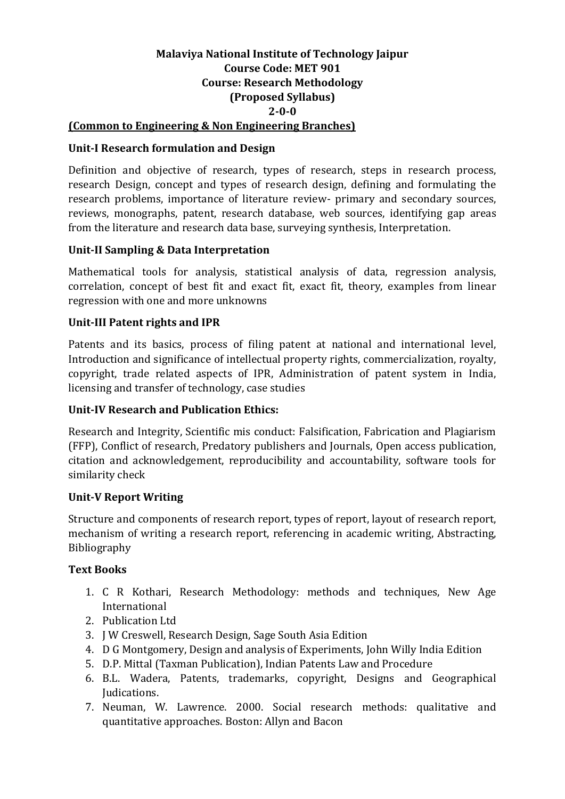## **Malaviya National Institute of Technology Jaipur Course Code: MET 901 Course: Research Methodology (Proposed Syllabus) 2-0-0 (Common to Engineering & Non Engineering Branches)**

# **Unit-I Research formulation and Design**

Definition and objective of research, types of research, steps in research process, research Design, concept and types of research design, defining and formulating the research problems, importance of literature review- primary and secondary sources, reviews, monographs, patent, research database, web sources, identifying gap areas from the literature and research data base, surveying synthesis, Interpretation.

## **Unit-II Sampling & Data Interpretation**

Mathematical tools for analysis, statistical analysis of data, regression analysis, correlation, concept of best fit and exact fit, exact fit, theory, examples from linear regression with one and more unknowns

## **Unit-III Patent rights and IPR**

Patents and its basics, process of filing patent at national and international level, Introduction and significance of intellectual property rights, commercialization, royalty, copyright, trade related aspects of IPR, Administration of patent system in India, licensing and transfer of technology, case studies

#### **Unit-IV Research and Publication Ethics:**

Research and Integrity, Scientific mis conduct: Falsification, Fabrication and Plagiarism (FFP), Conflict of research, Predatory publishers and Journals, Open access publication, citation and acknowledgement, reproducibility and accountability, software tools for similarity check

#### **Unit-V Report Writing**

Structure and components of research report, types of report, layout of research report, mechanism of writing a research report, referencing in academic writing, Abstracting, Bibliography

#### **Text Books**

- 1. C R Kothari, Research Methodology: methods and techniques, New Age International
- 2. Publication Ltd
- 3. J W Creswell, Research Design, Sage South Asia Edition
- 4. D G Montgomery, Design and analysis of Experiments, John Willy India Edition
- 5. D.P. Mittal (Taxman Publication), Indian Patents Law and Procedure
- 6. B.L. Wadera, Patents, trademarks, copyright, Designs and Geographical Judications.
- 7. Neuman, W. Lawrence. 2000. Social research methods: qualitative and quantitative approaches. Boston: Allyn and Bacon